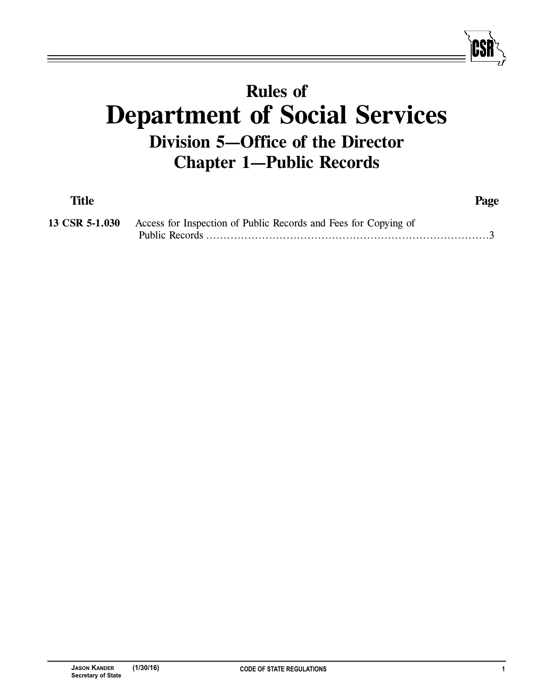## **Rules of Department of Social Services Division 5—Office of the Director Chapter 1—Public Records**

| <b>Title</b> |                                                                                | Page |
|--------------|--------------------------------------------------------------------------------|------|
|              | 13 CSR 5-1.030 Access for Inspection of Public Records and Fees for Copying of |      |